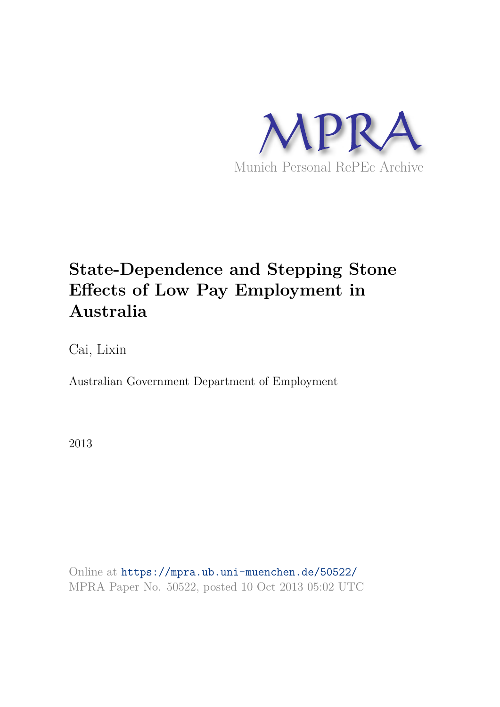

# **State-Dependence and Stepping Stone Effects of Low Pay Employment in Australia**

Cai, Lixin

Australian Government Department of Employment

2013

Online at https://mpra.ub.uni-muenchen.de/50522/ MPRA Paper No. 50522, posted 10 Oct 2013 05:02 UTC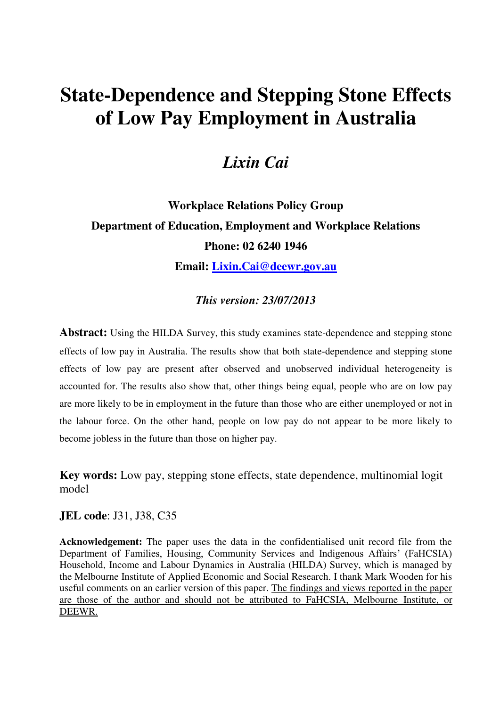# **State-Dependence and Stepping Stone Effects of Low Pay Employment in Australia**

## *Lixin Cai*

# **Workplace Relations Policy Group Department of Education, Employment and Workplace Relations Phone: 02 6240 1946 Email: [Lixin.Cai@deewr.gov.au](mailto:Lixin.Cai@deewr.gov.au)**

### *This version: 23/07/2013*

**Abstract:** Using the HILDA Survey, this study examines state-dependence and stepping stone effects of low pay in Australia. The results show that both state-dependence and stepping stone effects of low pay are present after observed and unobserved individual heterogeneity is accounted for. The results also show that, other things being equal, people who are on low pay are more likely to be in employment in the future than those who are either unemployed or not in the labour force. On the other hand, people on low pay do not appear to be more likely to become jobless in the future than those on higher pay.

**Key words:** Low pay, stepping stone effects, state dependence, multinomial logit model

### **JEL code**: J31, J38, C35

**Acknowledgement:** The paper uses the data in the confidentialised unit record file from the Department of Families, Housing, Community Services and Indigenous Affairs' (FaHCSIA) Household, Income and Labour Dynamics in Australia (HILDA) Survey, which is managed by the Melbourne Institute of Applied Economic and Social Research. I thank Mark Wooden for his useful comments on an earlier version of this paper. The findings and views reported in the paper are those of the author and should not be attributed to FaHCSIA, Melbourne Institute, or DEEWR.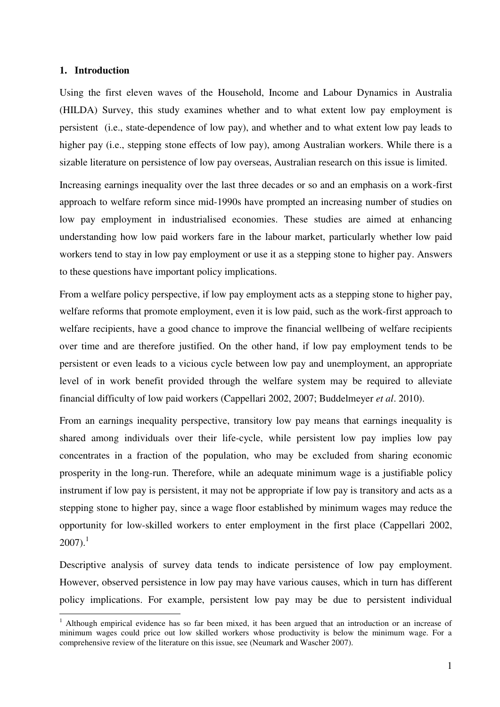#### **1. Introduction**

 $\overline{a}$ 

Using the first eleven waves of the Household, Income and Labour Dynamics in Australia (HILDA) Survey, this study examines whether and to what extent low pay employment is persistent (i.e., state-dependence of low pay), and whether and to what extent low pay leads to higher pay (i.e., stepping stone effects of low pay), among Australian workers. While there is a sizable literature on persistence of low pay overseas, Australian research on this issue is limited.

Increasing earnings inequality over the last three decades or so and an emphasis on a work-first approach to welfare reform since mid-1990s have prompted an increasing number of studies on low pay employment in industrialised economies. These studies are aimed at enhancing understanding how low paid workers fare in the labour market, particularly whether low paid workers tend to stay in low pay employment or use it as a stepping stone to higher pay. Answers to these questions have important policy implications.

From a welfare policy perspective, if low pay employment acts as a stepping stone to higher pay, welfare reforms that promote employment, even it is low paid, such as the work-first approach to welfare recipients, have a good chance to improve the financial wellbeing of welfare recipients over time and are therefore justified. On the other hand, if low pay employment tends to be persistent or even leads to a vicious cycle between low pay and unemployment, an appropriate level of in work benefit provided through the welfare system may be required to alleviate financial difficulty of low paid workers (Cappellari 2002, 2007; Buddelmeyer *et al*. 2010).

From an earnings inequality perspective, transitory low pay means that earnings inequality is shared among individuals over their life-cycle, while persistent low pay implies low pay concentrates in a fraction of the population, who may be excluded from sharing economic prosperity in the long-run. Therefore, while an adequate minimum wage is a justifiable policy instrument if low pay is persistent, it may not be appropriate if low pay is transitory and acts as a stepping stone to higher pay, since a wage floor established by minimum wages may reduce the opportunity for low-skilled workers to enter employment in the first place (Cappellari 2002,  $2007$ ).<sup>1</sup>

Descriptive analysis of survey data tends to indicate persistence of low pay employment. However, observed persistence in low pay may have various causes, which in turn has different policy implications. For example, persistent low pay may be due to persistent individual

<sup>&</sup>lt;sup>1</sup> Although empirical evidence has so far been mixed, it has been argued that an introduction or an increase of minimum wages could price out low skilled workers whose productivity is below the minimum wage. For a comprehensive review of the literature on this issue, see (Neumark and Wascher 2007).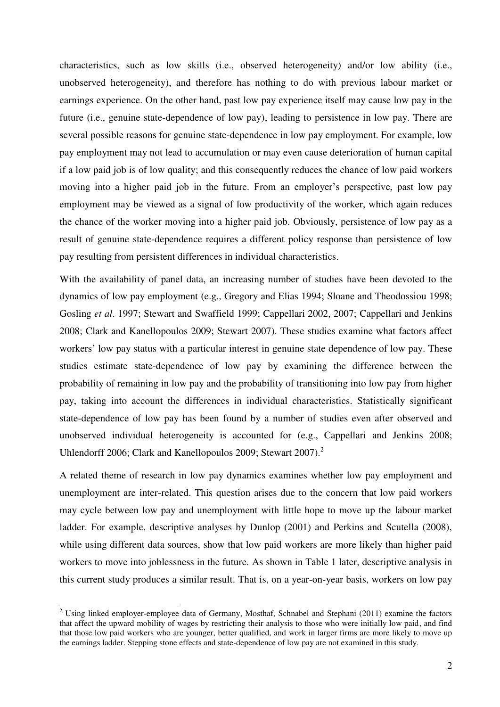characteristics, such as low skills (i.e., observed heterogeneity) and/or low ability (i.e., unobserved heterogeneity), and therefore has nothing to do with previous labour market or earnings experience. On the other hand, past low pay experience itself may cause low pay in the future (i.e., genuine state-dependence of low pay), leading to persistence in low pay. There are several possible reasons for genuine state-dependence in low pay employment. For example, low pay employment may not lead to accumulation or may even cause deterioration of human capital if a low paid job is of low quality; and this consequently reduces the chance of low paid workers moving into a higher paid job in the future. From an employer's perspective, past low pay employment may be viewed as a signal of low productivity of the worker, which again reduces the chance of the worker moving into a higher paid job. Obviously, persistence of low pay as a result of genuine state-dependence requires a different policy response than persistence of low pay resulting from persistent differences in individual characteristics.

With the availability of panel data, an increasing number of studies have been devoted to the dynamics of low pay employment (e.g., Gregory and Elias 1994; Sloane and Theodossiou 1998; Gosling *et al*. 1997; Stewart and Swaffield 1999; Cappellari 2002, 2007; Cappellari and Jenkins 2008; Clark and Kanellopoulos 2009; Stewart 2007). These studies examine what factors affect workers' low pay status with a particular interest in genuine state dependence of low pay. These studies estimate state-dependence of low pay by examining the difference between the probability of remaining in low pay and the probability of transitioning into low pay from higher pay, taking into account the differences in individual characteristics. Statistically significant state-dependence of low pay has been found by a number of studies even after observed and unobserved individual heterogeneity is accounted for (e.g., Cappellari and Jenkins 2008; Uhlendorff 2006; Clark and Kanellopoulos 2009; Stewart 2007).<sup>2</sup>

A related theme of research in low pay dynamics examines whether low pay employment and unemployment are inter-related. This question arises due to the concern that low paid workers may cycle between low pay and unemployment with little hope to move up the labour market ladder. For example, descriptive analyses by Dunlop (2001) and Perkins and Scutella (2008), while using different data sources, show that low paid workers are more likely than higher paid workers to move into joblessness in the future. As shown in Table 1 later, descriptive analysis in this current study produces a similar result. That is, on a year-on-year basis, workers on low pay

<sup>&</sup>lt;sup>2</sup> Using linked employer-employee data of Germany, Mosthaf, Schnabel and Stephani (2011) examine the factors that affect the upward mobility of wages by restricting their analysis to those who were initially low paid, and find that those low paid workers who are younger, better qualified, and work in larger firms are more likely to move up the earnings ladder. Stepping stone effects and state-dependence of low pay are not examined in this study.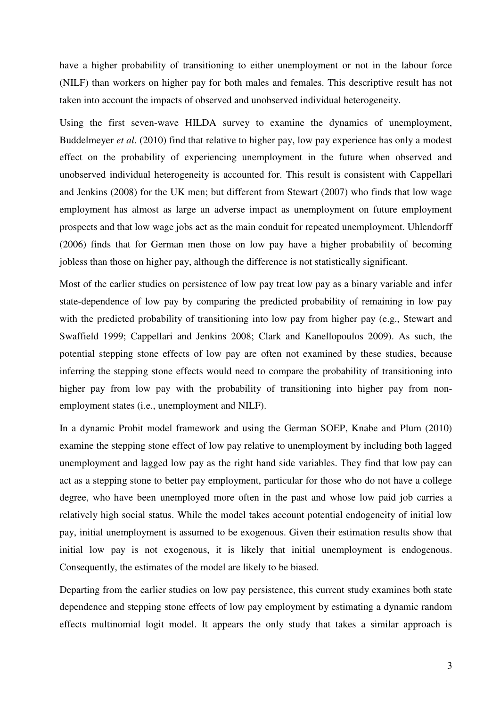have a higher probability of transitioning to either unemployment or not in the labour force (NILF) than workers on higher pay for both males and females. This descriptive result has not taken into account the impacts of observed and unobserved individual heterogeneity.

Using the first seven-wave HILDA survey to examine the dynamics of unemployment, Buddelmeyer *et al*. (2010) find that relative to higher pay, low pay experience has only a modest effect on the probability of experiencing unemployment in the future when observed and unobserved individual heterogeneity is accounted for. This result is consistent with Cappellari and Jenkins (2008) for the UK men; but different from Stewart (2007) who finds that low wage employment has almost as large an adverse impact as unemployment on future employment prospects and that low wage jobs act as the main conduit for repeated unemployment. Uhlendorff (2006) finds that for German men those on low pay have a higher probability of becoming jobless than those on higher pay, although the difference is not statistically significant.

Most of the earlier studies on persistence of low pay treat low pay as a binary variable and infer state-dependence of low pay by comparing the predicted probability of remaining in low pay with the predicted probability of transitioning into low pay from higher pay (e.g., Stewart and Swaffield 1999; Cappellari and Jenkins 2008; Clark and Kanellopoulos 2009). As such, the potential stepping stone effects of low pay are often not examined by these studies, because inferring the stepping stone effects would need to compare the probability of transitioning into higher pay from low pay with the probability of transitioning into higher pay from nonemployment states (i.e., unemployment and NILF).

In a dynamic Probit model framework and using the German SOEP, Knabe and Plum (2010) examine the stepping stone effect of low pay relative to unemployment by including both lagged unemployment and lagged low pay as the right hand side variables. They find that low pay can act as a stepping stone to better pay employment, particular for those who do not have a college degree, who have been unemployed more often in the past and whose low paid job carries a relatively high social status. While the model takes account potential endogeneity of initial low pay, initial unemployment is assumed to be exogenous. Given their estimation results show that initial low pay is not exogenous, it is likely that initial unemployment is endogenous. Consequently, the estimates of the model are likely to be biased.

Departing from the earlier studies on low pay persistence, this current study examines both state dependence and stepping stone effects of low pay employment by estimating a dynamic random effects multinomial logit model. It appears the only study that takes a similar approach is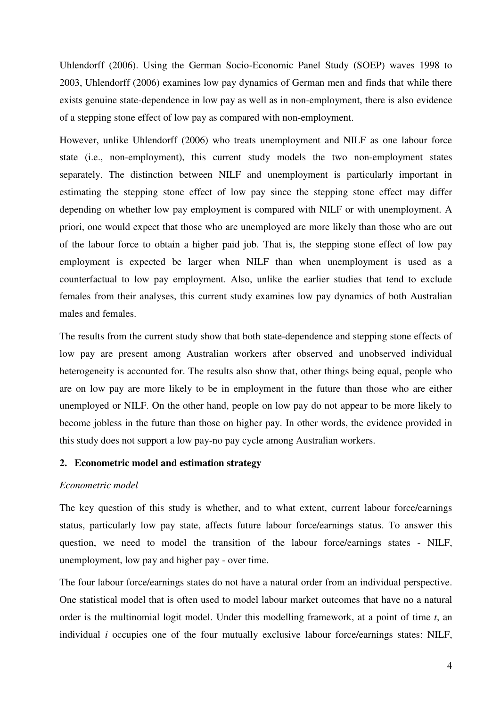Uhlendorff (2006). Using the German Socio-Economic Panel Study (SOEP) waves 1998 to 2003, Uhlendorff (2006) examines low pay dynamics of German men and finds that while there exists genuine state-dependence in low pay as well as in non-employment, there is also evidence of a stepping stone effect of low pay as compared with non-employment.

However, unlike Uhlendorff (2006) who treats unemployment and NILF as one labour force state (i.e., non-employment), this current study models the two non-employment states separately. The distinction between NILF and unemployment is particularly important in estimating the stepping stone effect of low pay since the stepping stone effect may differ depending on whether low pay employment is compared with NILF or with unemployment. A priori, one would expect that those who are unemployed are more likely than those who are out of the labour force to obtain a higher paid job. That is, the stepping stone effect of low pay employment is expected be larger when NILF than when unemployment is used as a counterfactual to low pay employment. Also, unlike the earlier studies that tend to exclude females from their analyses, this current study examines low pay dynamics of both Australian males and females.

The results from the current study show that both state-dependence and stepping stone effects of low pay are present among Australian workers after observed and unobserved individual heterogeneity is accounted for. The results also show that, other things being equal, people who are on low pay are more likely to be in employment in the future than those who are either unemployed or NILF. On the other hand, people on low pay do not appear to be more likely to become jobless in the future than those on higher pay. In other words, the evidence provided in this study does not support a low pay-no pay cycle among Australian workers.

#### **2. Econometric model and estimation strategy**

#### *Econometric model*

The key question of this study is whether, and to what extent, current labour force/earnings status, particularly low pay state, affects future labour force/earnings status. To answer this question, we need to model the transition of the labour force/earnings states - NILF, unemployment, low pay and higher pay - over time.

The four labour force/earnings states do not have a natural order from an individual perspective. One statistical model that is often used to model labour market outcomes that have no a natural order is the multinomial logit model. Under this modelling framework, at a point of time *t*, an individual *i* occupies one of the four mutually exclusive labour force/earnings states: NILF,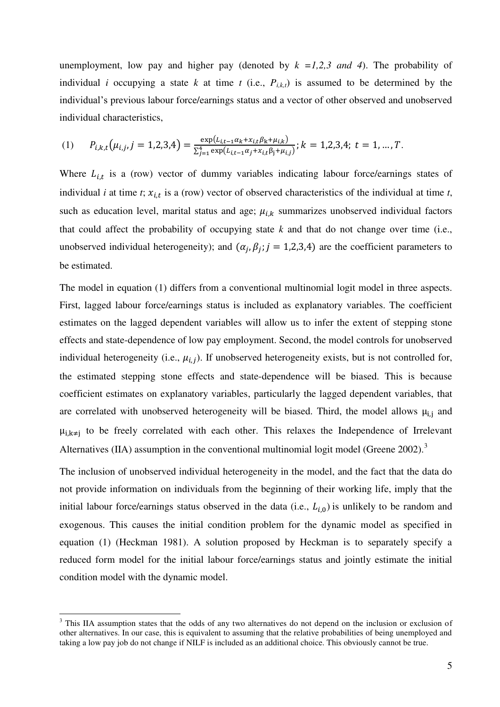unemployment, low pay and higher pay (denoted by  $k = 1,2,3$  and 4). The probability of individual *i* occupying a state *k* at time *t* (i.e.,  $P_{i,k,t}$ ) is assumed to be determined by the individual's previous labour force/earnings status and a vector of other observed and unobserved individual characteristics,

(1) 
$$
P_{i,k,t}(\mu_{i,j},j=1,2,3,4)=\frac{\exp(L_{i,t-1}\alpha_k+x_{i,t}\beta_k+\mu_{i,k})}{\sum_{j=1}^4 \exp(L_{i,t-1}\alpha_j+x_{i,t}\beta_j+\mu_{i,j})}; k=1,2,3,4; t=1,\ldots,T.
$$

Where  $L_{i,t}$  is a (row) vector of dummy variables indicating labour force/earnings states of individual *i* at time *t*;  $x_{i,t}$  is a (row) vector of observed characteristics of the individual at time *t*, such as education level, marital status and age;  $\mu_{i,k}$  summarizes unobserved individual factors that could affect the probability of occupying state  $k$  and that do not change over time (i.e., unobserved individual heterogeneity); and  $(\alpha_j, \beta_j; j = 1,2,3,4)$  are the coefficient parameters to be estimated.

The model in equation (1) differs from a conventional multinomial logit model in three aspects. First, lagged labour force/earnings status is included as explanatory variables. The coefficient estimates on the lagged dependent variables will allow us to infer the extent of stepping stone effects and state-dependence of low pay employment. Second, the model controls for unobserved individual heterogeneity (i.e.,  $\mu_{i,j}$ ). If unobserved heterogeneity exists, but is not controlled for, the estimated stepping stone effects and state-dependence will be biased. This is because coefficient estimates on explanatory variables, particularly the lagged dependent variables, that are correlated with unobserved heterogeneity will be biased. Third, the model allows  $\mu_{i,j}$  and  $\mu_{i,k\neq i}$  to be freely correlated with each other. This relaxes the Independence of Irrelevant Alternatives (IIA) assumption in the conventional multinomial logit model (Greene 2002).<sup>3</sup>

The inclusion of unobserved individual heterogeneity in the model, and the fact that the data do not provide information on individuals from the beginning of their working life, imply that the initial labour force/earnings status observed in the data (i.e.,  $L_{i,0}$ ) is unlikely to be random and exogenous. This causes the initial condition problem for the dynamic model as specified in equation (1) (Heckman 1981). A solution proposed by Heckman is to separately specify a reduced form model for the initial labour force/earnings status and jointly estimate the initial condition model with the dynamic model.

 $\overline{a}$ 

<sup>&</sup>lt;sup>3</sup> This IIA assumption states that the odds of any two alternatives do not depend on the inclusion or exclusion of other alternatives. In our case, this is equivalent to assuming that the relative probabilities of being unemployed and taking a low pay job do not change if NILF is included as an additional choice. This obviously cannot be true.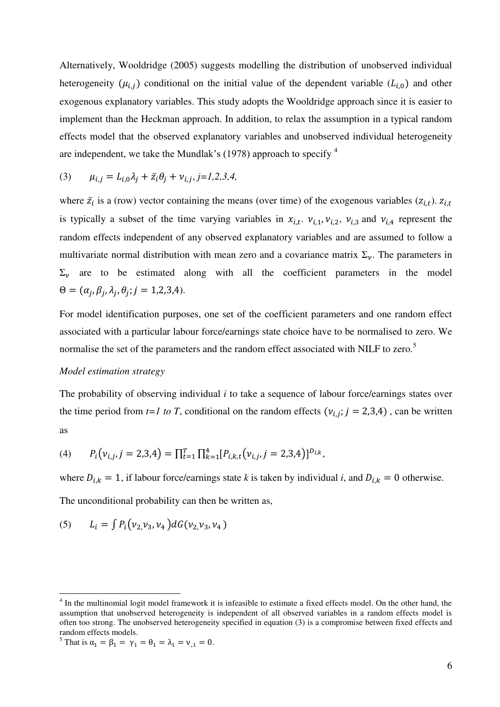Alternatively, Wooldridge (2005) suggests modelling the distribution of unobserved individual heterogeneity ( $\mu_{i,j}$ ) conditional on the initial value of the dependent variable ( $L_{i,0}$ ) and other exogenous explanatory variables. This study adopts the Wooldridge approach since it is easier to implement than the Heckman approach. In addition, to relax the assumption in a typical random effects model that the observed explanatory variables and unobserved individual heterogeneity are independent, we take the Mundlak's (1978) approach to specify  $^4$ 

(3) 
$$
\mu_{i,j} = L_{i,0} \lambda_j + \bar{z}_i \theta_j + \nu_{i,j}, j = 1, 2, 3, 4,
$$

where  $\bar{z}_i$  is a (row) vector containing the means (over time) of the exogenous variables ( $z_{i,t}$ ). is typically a subset of the time varying variables in  $x_{i,t}$ .  $v_{i,1}$ ,  $v_{i,2}$ ,  $v_{i,3}$  and  $v_{i,4}$  represent the random effects independent of any observed explanatory variables and are assumed to follow a multivariate normal distribution with mean zero and a covariance matrix  $\Sigma_{\nu}$ . The parameters in  $\Sigma_{\nu}$  are to be estimated along with all the coefficient parameters in the model  $\Theta = (\alpha_j, \beta_j, \lambda_j, \theta_j; j = 1, 2, 3, 4).$ 

For model identification purposes, one set of the coefficient parameters and one random effect associated with a particular labour force/earnings state choice have to be normalised to zero. We normalise the set of the parameters and the random effect associated with NILF to zero.<sup>5</sup>

#### *Model estimation strategy*

The probability of observing individual *i* to take a sequence of labour force/earnings states over the time period from  $t=1$  to T, conditional on the random effects ( $v_{i,j}$ ;  $j = 2,3,4$ ), can be written as

(4) 
$$
P_i(v_{i,j}, j=2,3,4) = \prod_{t=1}^T \prod_{k=1}^4 [P_{i,k,t}(v_{i,j}, j=2,3,4)]^{D_{i,k}},
$$

where  $D_{i,k} = 1$ , if labour force/earnings state *k* is taken by individual *i*, and  $D_{i,k} = 0$  otherwise. The unconditional probability can then be written as,

(5) 
$$
L_i = \int P_i(v_2, v_3, v_4) dG(v_2, v_3, v_4)
$$

 $\overline{a}$ 

<sup>&</sup>lt;sup>4</sup> In the multinomial logit model framework it is infeasible to estimate a fixed effects model. On the other hand, the assumption that unobserved heterogeneity is independent of all observed variables in a random effects model is often too strong. The unobserved heterogeneity specified in equation (3) is a compromise between fixed effects and random effects models.

<sup>&</sup>lt;sup>5</sup> That is  $\alpha_1 = \beta_1 = \gamma_1 = \theta_1 = \lambda_1 = \nu_{1} = 0$ .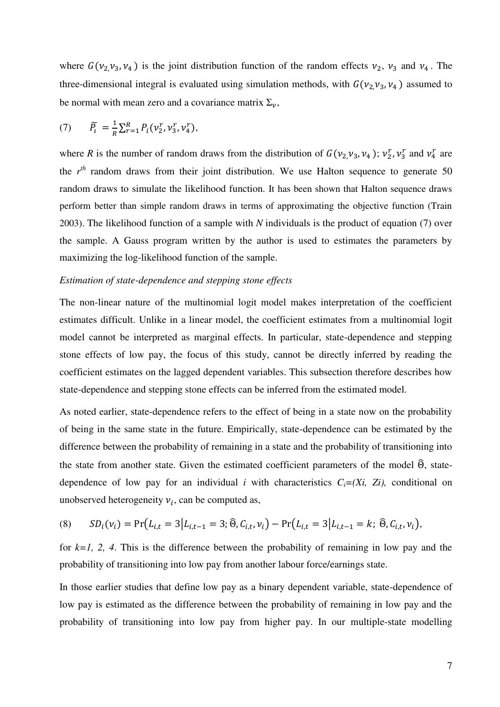where  $G(\nu_2, \nu_3, \nu_4)$  is the joint distribution function of the random effects  $\nu_2$ ,  $\nu_3$  and  $\nu_4$ . The three-dimensional integral is evaluated using simulation methods, with  $G(\nu_2,\nu_3,\nu_4)$  assumed to be normal with mean zero and a covariance matrix  $\Sigma_{\nu}$ ,

(7) 
$$
\widetilde{P}_t = \frac{1}{R} \sum_{r=1}^R P_i(v_2^r, v_3^r, v_4^r),
$$

where *R* is the number of random draws from the distribution of  $G(v_2, v_3, v_4)$ ;  $v_2^r$ ,  $v_3^r$  and  $v_4^r$  are the *r th* random draws from their joint distribution. We use Halton sequence to generate 50 random draws to simulate the likelihood function. It has been shown that Halton sequence draws perform better than simple random draws in terms of approximating the objective function (Train 2003). The likelihood function of a sample with *N* individuals is the product of equation (7) over the sample. A Gauss program written by the author is used to estimates the parameters by maximizing the log-likelihood function of the sample.

#### *Estimation of state-dependence and stepping stone effects*

The non-linear nature of the multinomial logit model makes interpretation of the coefficient estimates difficult. Unlike in a linear model, the coefficient estimates from a multinomial logit model cannot be interpreted as marginal effects. In particular, state-dependence and stepping stone effects of low pay, the focus of this study, cannot be directly inferred by reading the coefficient estimates on the lagged dependent variables. This subsection therefore describes how state-dependence and stepping stone effects can be inferred from the estimated model.

As noted earlier, state-dependence refers to the effect of being in a state now on the probability of being in the same state in the future. Empirically, state-dependence can be estimated by the difference between the probability of remaining in a state and the probability of transitioning into the state from another state. Given the estimated coefficient parameters of the model  $\widehat{\Theta}$ , statedependence of low pay for an individual *i* with characteristics  $C_i = (Xi, Z_i)$ , conditional on unobserved heterogeneity  $v_i$ , can be computed as,

$$
(8) \qquad SD_i(\nu_i) = \Pr\big(L_{i,t} = 3 \big| L_{i,t-1} = 3; \widehat{\Theta}, C_{i,t}, \nu_i\big) - \Pr\big(L_{i,t} = 3 \big| L_{i,t-1} = k; \widehat{\Theta}, C_{i,t}, \nu_i\big),
$$

for  $k=1, 2, 4$ . This is the difference between the probability of remaining in low pay and the probability of transitioning into low pay from another labour force/earnings state.

In those earlier studies that define low pay as a binary dependent variable, state-dependence of low pay is estimated as the difference between the probability of remaining in low pay and the probability of transitioning into low pay from higher pay. In our multiple-state modelling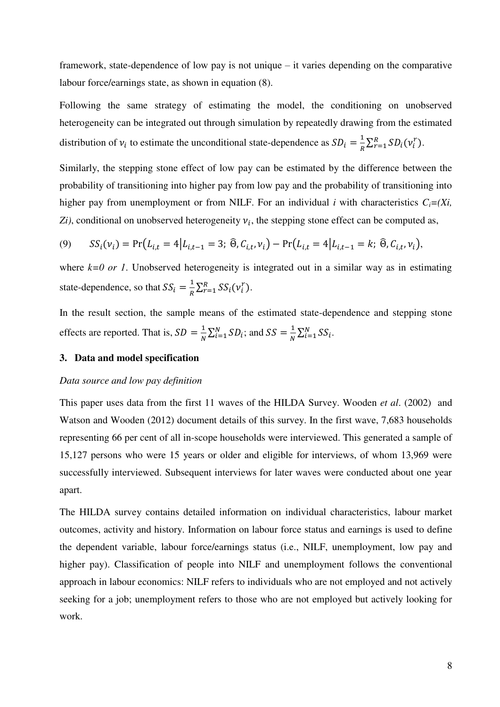framework, state-dependence of low pay is not unique – it varies depending on the comparative labour force/earnings state, as shown in equation (8).

Following the same strategy of estimating the model, the conditioning on unobserved heterogeneity can be integrated out through simulation by repeatedly drawing from the estimated distribution of  $v_i$  to estimate the unconditional state-dependence as  $SD_i = \frac{1}{R}$  $\frac{1}{R} \sum_{r=1}^{R} SD_i(v_i^r).$ 

Similarly, the stepping stone effect of low pay can be estimated by the difference between the probability of transitioning into higher pay from low pay and the probability of transitioning into higher pay from unemployment or from NILF. For an individual *i* with characteristics  $C_i = (Xi)$ ,  $Z_i$ , conditional on unobserved heterogeneity  $v_i$ , the stepping stone effect can be computed as,

(9) 
$$
SS_i(v_i) = \Pr(L_{i,t} = 4 | L_{i,t-1} = 3; \widehat{\Theta}, C_{i,t}, v_i) - \Pr(L_{i,t} = 4 | L_{i,t-1} = k; \widehat{\Theta}, C_{i,t}, v_i),
$$

where  $k=0$  or 1. Unobserved heterogeneity is integrated out in a similar way as in estimating state-dependence, so that  $SS_i = \frac{1}{n}$  $\frac{1}{R} \sum_{r=1}^{R} SS_i(v_i^r).$ 

In the result section, the sample means of the estimated state-dependence and stepping stone effects are reported. That is,  $SD = \frac{1}{N}$  $\frac{1}{N}\sum_{i=1}^{N} SD_i$ ; and  $SS = \frac{1}{N}$  $\frac{1}{N}\sum_{i=1}^N SS_i$ .

#### **3. Data and model specification**

#### *Data source and low pay definition*

This paper uses data from the first 11 waves of the HILDA Survey. Wooden *et al*. (2002) and Watson and Wooden (2012) document details of this survey. In the first wave, 7,683 households representing 66 per cent of all in-scope households were interviewed. This generated a sample of 15,127 persons who were 15 years or older and eligible for interviews, of whom 13,969 were successfully interviewed. Subsequent interviews for later waves were conducted about one year apart.

The HILDA survey contains detailed information on individual characteristics, labour market outcomes, activity and history. Information on labour force status and earnings is used to define the dependent variable, labour force/earnings status (i.e., NILF, unemployment, low pay and higher pay). Classification of people into NILF and unemployment follows the conventional approach in labour economics: NILF refers to individuals who are not employed and not actively seeking for a job; unemployment refers to those who are not employed but actively looking for work.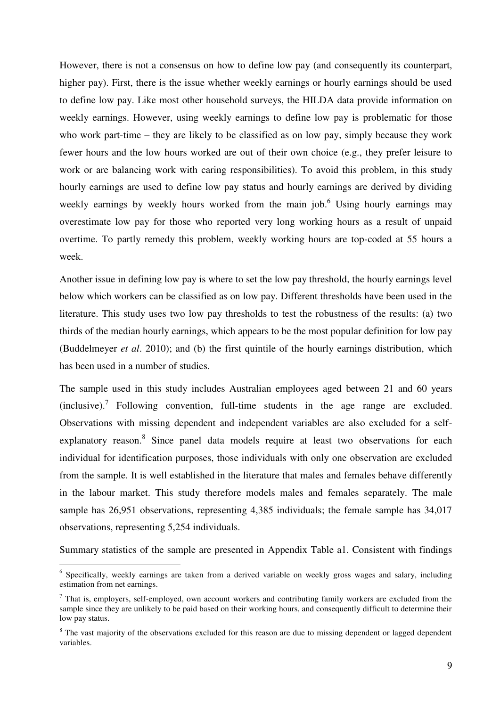However, there is not a consensus on how to define low pay (and consequently its counterpart, higher pay). First, there is the issue whether weekly earnings or hourly earnings should be used to define low pay. Like most other household surveys, the HILDA data provide information on weekly earnings. However, using weekly earnings to define low pay is problematic for those who work part-time – they are likely to be classified as on low pay, simply because they work fewer hours and the low hours worked are out of their own choice (e.g., they prefer leisure to work or are balancing work with caring responsibilities). To avoid this problem, in this study hourly earnings are used to define low pay status and hourly earnings are derived by dividing weekly earnings by weekly hours worked from the main job.<sup>6</sup> Using hourly earnings may overestimate low pay for those who reported very long working hours as a result of unpaid overtime. To partly remedy this problem, weekly working hours are top-coded at 55 hours a week.

Another issue in defining low pay is where to set the low pay threshold, the hourly earnings level below which workers can be classified as on low pay. Different thresholds have been used in the literature. This study uses two low pay thresholds to test the robustness of the results: (a) two thirds of the median hourly earnings, which appears to be the most popular definition for low pay (Buddelmeyer *et al*. 2010); and (b) the first quintile of the hourly earnings distribution, which has been used in a number of studies.

The sample used in this study includes Australian employees aged between 21 and 60 years (inclusive).<sup>7</sup> Following convention, full-time students in the age range are excluded. Observations with missing dependent and independent variables are also excluded for a selfexplanatory reason.<sup>8</sup> Since panel data models require at least two observations for each individual for identification purposes, those individuals with only one observation are excluded from the sample. It is well established in the literature that males and females behave differently in the labour market. This study therefore models males and females separately. The male sample has 26,951 observations, representing 4,385 individuals; the female sample has 34,017 observations, representing 5,254 individuals.

Summary statistics of the sample are presented in Appendix Table a1. Consistent with findings

<sup>&</sup>lt;sup>6</sup> Specifically, weekly earnings are taken from a derived variable on weekly gross wages and salary, including estimation from net earnings.

 $<sup>7</sup>$  That is, employers, self-employed, own account workers and contributing family workers are excluded from the</sup> sample since they are unlikely to be paid based on their working hours, and consequently difficult to determine their low pay status.

<sup>&</sup>lt;sup>8</sup> The vast majority of the observations excluded for this reason are due to missing dependent or lagged dependent variables.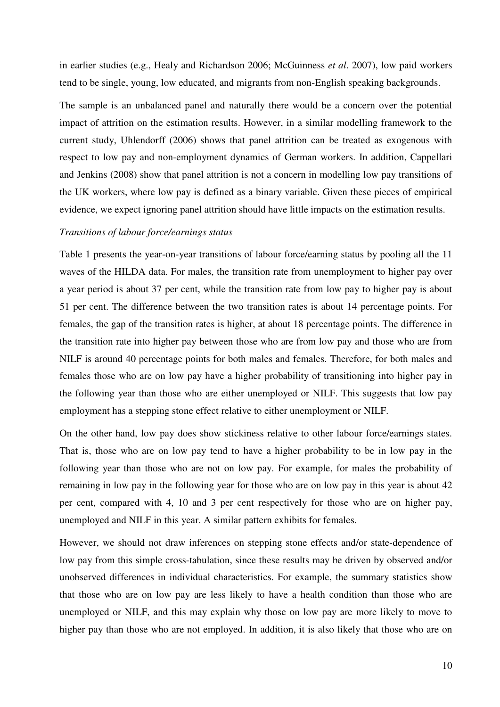in earlier studies (e.g., Healy and Richardson 2006; McGuinness *et al*. 2007), low paid workers tend to be single, young, low educated, and migrants from non-English speaking backgrounds.

The sample is an unbalanced panel and naturally there would be a concern over the potential impact of attrition on the estimation results. However, in a similar modelling framework to the current study, Uhlendorff (2006) shows that panel attrition can be treated as exogenous with respect to low pay and non-employment dynamics of German workers. In addition, Cappellari and Jenkins (2008) show that panel attrition is not a concern in modelling low pay transitions of the UK workers, where low pay is defined as a binary variable. Given these pieces of empirical evidence, we expect ignoring panel attrition should have little impacts on the estimation results.

#### *Transitions of labour force/earnings status*

Table 1 presents the year-on-year transitions of labour force/earning status by pooling all the 11 waves of the HILDA data. For males, the transition rate from unemployment to higher pay over a year period is about 37 per cent, while the transition rate from low pay to higher pay is about 51 per cent. The difference between the two transition rates is about 14 percentage points. For females, the gap of the transition rates is higher, at about 18 percentage points. The difference in the transition rate into higher pay between those who are from low pay and those who are from NILF is around 40 percentage points for both males and females. Therefore, for both males and females those who are on low pay have a higher probability of transitioning into higher pay in the following year than those who are either unemployed or NILF. This suggests that low pay employment has a stepping stone effect relative to either unemployment or NILF.

On the other hand, low pay does show stickiness relative to other labour force/earnings states. That is, those who are on low pay tend to have a higher probability to be in low pay in the following year than those who are not on low pay. For example, for males the probability of remaining in low pay in the following year for those who are on low pay in this year is about 42 per cent, compared with 4, 10 and 3 per cent respectively for those who are on higher pay, unemployed and NILF in this year. A similar pattern exhibits for females.

However, we should not draw inferences on stepping stone effects and/or state-dependence of low pay from this simple cross-tabulation, since these results may be driven by observed and/or unobserved differences in individual characteristics. For example, the summary statistics show that those who are on low pay are less likely to have a health condition than those who are unemployed or NILF, and this may explain why those on low pay are more likely to move to higher pay than those who are not employed. In addition, it is also likely that those who are on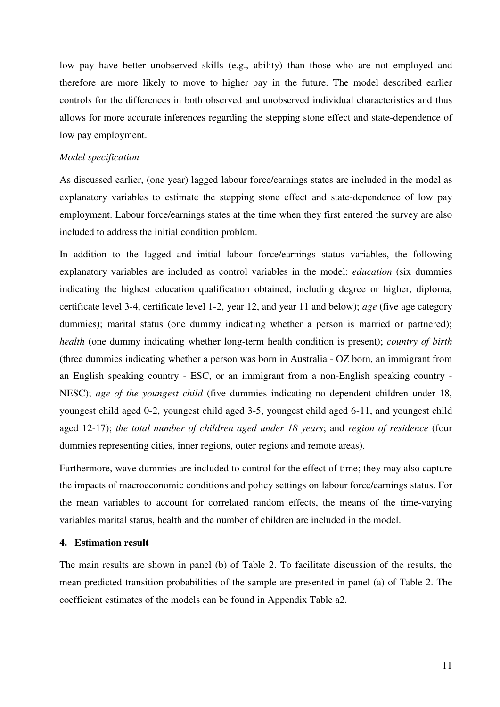low pay have better unobserved skills (e.g., ability) than those who are not employed and therefore are more likely to move to higher pay in the future. The model described earlier controls for the differences in both observed and unobserved individual characteristics and thus allows for more accurate inferences regarding the stepping stone effect and state-dependence of low pay employment.

#### *Model specification*

As discussed earlier, (one year) lagged labour force/earnings states are included in the model as explanatory variables to estimate the stepping stone effect and state-dependence of low pay employment. Labour force/earnings states at the time when they first entered the survey are also included to address the initial condition problem.

In addition to the lagged and initial labour force/earnings status variables, the following explanatory variables are included as control variables in the model: *education* (six dummies indicating the highest education qualification obtained, including degree or higher, diploma, certificate level 3-4, certificate level 1-2, year 12, and year 11 and below); *age* (five age category dummies); marital status (one dummy indicating whether a person is married or partnered); *health* (one dummy indicating whether long-term health condition is present); *country of birth* (three dummies indicating whether a person was born in Australia - OZ born, an immigrant from an English speaking country - ESC, or an immigrant from a non-English speaking country - NESC); *age of the youngest child* (five dummies indicating no dependent children under 18, youngest child aged 0-2, youngest child aged 3-5, youngest child aged 6-11, and youngest child aged 12-17); *the total number of children aged under 18 years*; and *region of residence* (four dummies representing cities, inner regions, outer regions and remote areas).

Furthermore, wave dummies are included to control for the effect of time; they may also capture the impacts of macroeconomic conditions and policy settings on labour force/earnings status. For the mean variables to account for correlated random effects, the means of the time-varying variables marital status, health and the number of children are included in the model.

#### **4. Estimation result**

The main results are shown in panel (b) of Table 2. To facilitate discussion of the results, the mean predicted transition probabilities of the sample are presented in panel (a) of Table 2. The coefficient estimates of the models can be found in Appendix Table a2.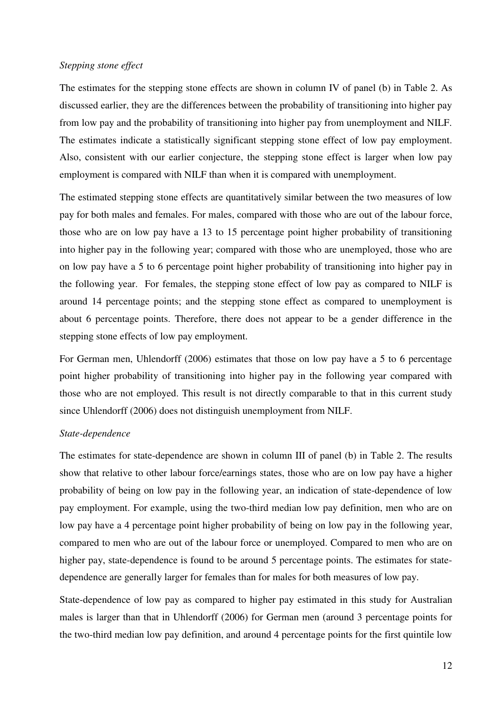#### *Stepping stone effect*

The estimates for the stepping stone effects are shown in column IV of panel (b) in Table 2. As discussed earlier, they are the differences between the probability of transitioning into higher pay from low pay and the probability of transitioning into higher pay from unemployment and NILF. The estimates indicate a statistically significant stepping stone effect of low pay employment. Also, consistent with our earlier conjecture, the stepping stone effect is larger when low pay employment is compared with NILF than when it is compared with unemployment.

The estimated stepping stone effects are quantitatively similar between the two measures of low pay for both males and females. For males, compared with those who are out of the labour force, those who are on low pay have a 13 to 15 percentage point higher probability of transitioning into higher pay in the following year; compared with those who are unemployed, those who are on low pay have a 5 to 6 percentage point higher probability of transitioning into higher pay in the following year. For females, the stepping stone effect of low pay as compared to NILF is around 14 percentage points; and the stepping stone effect as compared to unemployment is about 6 percentage points. Therefore, there does not appear to be a gender difference in the stepping stone effects of low pay employment.

For German men, Uhlendorff (2006) estimates that those on low pay have a 5 to 6 percentage point higher probability of transitioning into higher pay in the following year compared with those who are not employed. This result is not directly comparable to that in this current study since Uhlendorff (2006) does not distinguish unemployment from NILF.

#### *State-dependence*

The estimates for state-dependence are shown in column III of panel (b) in Table 2. The results show that relative to other labour force/earnings states, those who are on low pay have a higher probability of being on low pay in the following year, an indication of state-dependence of low pay employment. For example, using the two-third median low pay definition, men who are on low pay have a 4 percentage point higher probability of being on low pay in the following year, compared to men who are out of the labour force or unemployed. Compared to men who are on higher pay, state-dependence is found to be around 5 percentage points. The estimates for statedependence are generally larger for females than for males for both measures of low pay.

State-dependence of low pay as compared to higher pay estimated in this study for Australian males is larger than that in Uhlendorff (2006) for German men (around 3 percentage points for the two-third median low pay definition, and around 4 percentage points for the first quintile low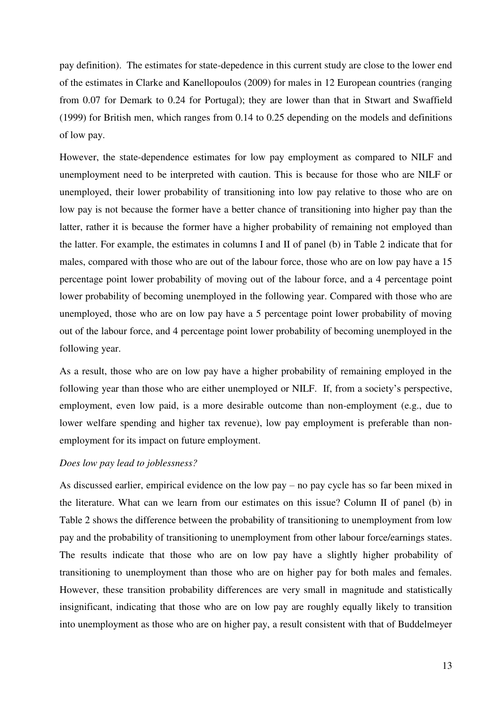pay definition). The estimates for state-depedence in this current study are close to the lower end of the estimates in Clarke and Kanellopoulos (2009) for males in 12 European countries (ranging from 0.07 for Demark to 0.24 for Portugal); they are lower than that in Stwart and Swaffield (1999) for British men, which ranges from 0.14 to 0.25 depending on the models and definitions of low pay.

However, the state-dependence estimates for low pay employment as compared to NILF and unemployment need to be interpreted with caution. This is because for those who are NILF or unemployed, their lower probability of transitioning into low pay relative to those who are on low pay is not because the former have a better chance of transitioning into higher pay than the latter, rather it is because the former have a higher probability of remaining not employed than the latter. For example, the estimates in columns I and II of panel (b) in Table 2 indicate that for males, compared with those who are out of the labour force, those who are on low pay have a 15 percentage point lower probability of moving out of the labour force, and a 4 percentage point lower probability of becoming unemployed in the following year. Compared with those who are unemployed, those who are on low pay have a 5 percentage point lower probability of moving out of the labour force, and 4 percentage point lower probability of becoming unemployed in the following year.

As a result, those who are on low pay have a higher probability of remaining employed in the following year than those who are either unemployed or NILF. If, from a society's perspective, employment, even low paid, is a more desirable outcome than non-employment (e.g., due to lower welfare spending and higher tax revenue), low pay employment is preferable than nonemployment for its impact on future employment.

#### *Does low pay lead to joblessness?*

As discussed earlier, empirical evidence on the low pay – no pay cycle has so far been mixed in the literature. What can we learn from our estimates on this issue? Column II of panel (b) in Table 2 shows the difference between the probability of transitioning to unemployment from low pay and the probability of transitioning to unemployment from other labour force/earnings states. The results indicate that those who are on low pay have a slightly higher probability of transitioning to unemployment than those who are on higher pay for both males and females. However, these transition probability differences are very small in magnitude and statistically insignificant, indicating that those who are on low pay are roughly equally likely to transition into unemployment as those who are on higher pay, a result consistent with that of Buddelmeyer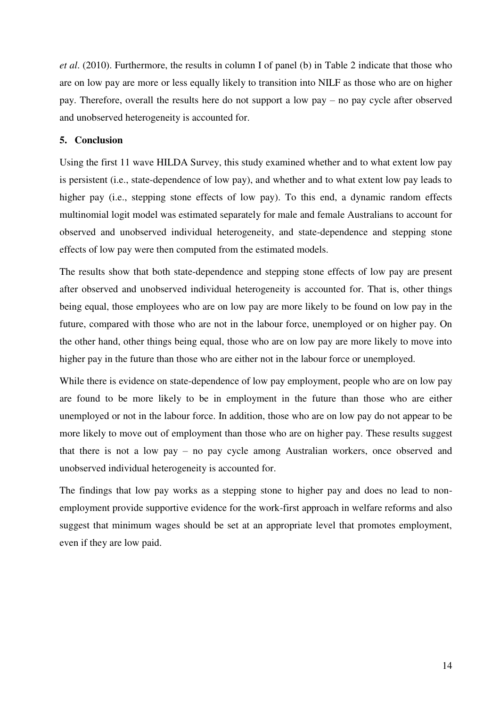*et al*. (2010). Furthermore, the results in column I of panel (b) in Table 2 indicate that those who are on low pay are more or less equally likely to transition into NILF as those who are on higher pay. Therefore, overall the results here do not support a low pay – no pay cycle after observed and unobserved heterogeneity is accounted for.

#### **5. Conclusion**

Using the first 11 wave HILDA Survey, this study examined whether and to what extent low pay is persistent (i.e., state-dependence of low pay), and whether and to what extent low pay leads to higher pay (i.e., stepping stone effects of low pay). To this end, a dynamic random effects multinomial logit model was estimated separately for male and female Australians to account for observed and unobserved individual heterogeneity, and state-dependence and stepping stone effects of low pay were then computed from the estimated models.

The results show that both state-dependence and stepping stone effects of low pay are present after observed and unobserved individual heterogeneity is accounted for. That is, other things being equal, those employees who are on low pay are more likely to be found on low pay in the future, compared with those who are not in the labour force, unemployed or on higher pay. On the other hand, other things being equal, those who are on low pay are more likely to move into higher pay in the future than those who are either not in the labour force or unemployed.

While there is evidence on state-dependence of low pay employment, people who are on low pay are found to be more likely to be in employment in the future than those who are either unemployed or not in the labour force. In addition, those who are on low pay do not appear to be more likely to move out of employment than those who are on higher pay. These results suggest that there is not a low pay – no pay cycle among Australian workers, once observed and unobserved individual heterogeneity is accounted for.

The findings that low pay works as a stepping stone to higher pay and does no lead to nonemployment provide supportive evidence for the work-first approach in welfare reforms and also suggest that minimum wages should be set at an appropriate level that promotes employment, even if they are low paid.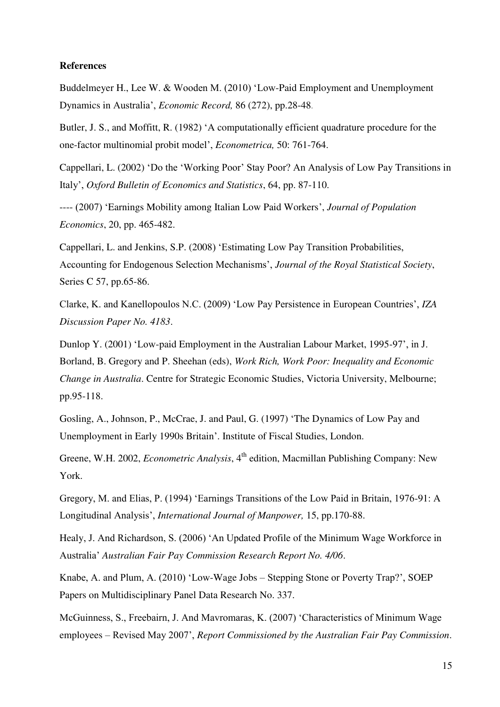#### **References**

Buddelmeyer H., Lee W. & Wooden M. (2010) 'Low-Paid Employment and Unemployment Dynamics in Australia', *Economic Record,* 86 (272), pp.28-48.

Butler, J. S., and Moffitt, R. (1982) 'A computationally efficient quadrature procedure for the one-factor multinomial probit model', *Econometrica,* 50: 761-764.

Cappellari, L. (2002) 'Do the 'Working Poor' Stay Poor? An Analysis of Low Pay Transitions in Italy', *Oxford Bulletin of Economics and Statistics*, 64, pp. 87-110.

---- (2007) 'Earnings Mobility among Italian Low Paid Workers', *Journal of Population Economics*, 20, pp. 465-482.

Cappellari, L. and Jenkins, S.P. (2008) 'Estimating Low Pay Transition Probabilities, Accounting for Endogenous Selection Mechanisms', *Journal of the Royal Statistical Society*, Series C 57, pp.65-86.

Clarke, K. and Kanellopoulos N.C. (2009) 'Low Pay Persistence in European Countries', *IZA Discussion Paper No. 4183*.

Dunlop Y. (2001) 'Low-paid Employment in the Australian Labour Market, 1995-97', in J. Borland, B. Gregory and P. Sheehan (eds), *Work Rich, Work Poor: Inequality and Economic Change in Australia*. Centre for Strategic Economic Studies, Victoria University, Melbourne; pp.95-118.

Gosling, A., Johnson, P., McCrae, J. and Paul, G. (1997) 'The Dynamics of Low Pay and Unemployment in Early 1990s Britain'. Institute of Fiscal Studies, London.

Greene, W.H. 2002, *Econometric Analysis*, 4<sup>th</sup> edition, Macmillan Publishing Company: New York.

Gregory, M. and Elias, P. (1994) 'Earnings Transitions of the Low Paid in Britain, 1976-91: A Longitudinal Analysis', *International Journal of Manpower,* 15, pp.170-88.

Healy, J. And Richardson, S. (2006) 'An Updated Profile of the Minimum Wage Workforce in Australia' *Australian Fair Pay Commission Research Report No. 4/06*.

Knabe, A. and Plum, A. (2010) 'Low-Wage Jobs – Stepping Stone or Poverty Trap?', SOEP Papers on Multidisciplinary Panel Data Research No. 337.

McGuinness, S., Freebairn, J. And Mavromaras, K. (2007) 'Characteristics of Minimum Wage employees – Revised May 2007', *Report Commissioned by the Australian Fair Pay Commission*.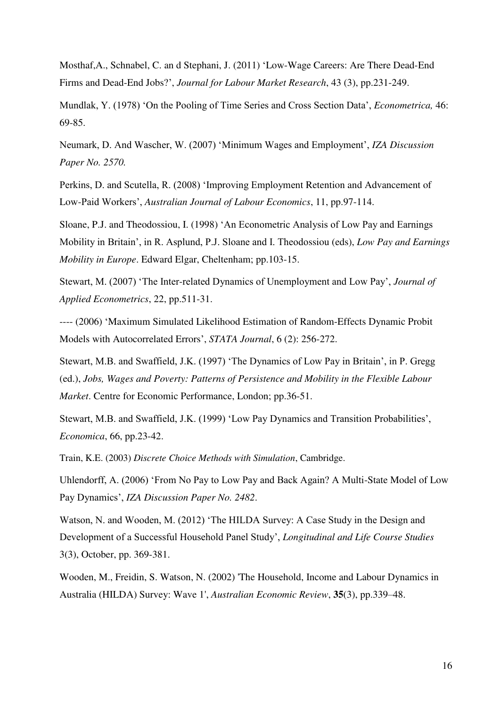Mosthaf,A., [Schnabel,](http://scholar.google.com.au/citations?user=LjaC_FwAAAAJ&hl=en&oi=sra) C. an d Stephani, J. (2011) '[Low-Wage Careers: Are There Dead-End](http://link.springer.com/article/10.1007/s12651-010-0036-4)  [Firms and Dead-End Jobs?](http://link.springer.com/article/10.1007/s12651-010-0036-4)', *Journal for Labour Market Research*, 43 (3), pp.231-249.

Mundlak, Y. (1978) 'On the Pooling of Time Series and Cross Section Data', *Econometrica,* 46: 69-85.

Neumark, D. And Wascher, W. (2007) 'Minimum Wages and Employment', *IZA Discussion Paper No. 2570.* 

Perkins, D. and Scutella, R. (2008) 'Improving Employment Retention and Advancement of Low-Paid Workers', *Australian Journal of Labour Economics*, 11, pp.97-114.

Sloane, P.J. and Theodossiou, I. (1998) 'An Econometric Analysis of Low Pay and Earnings Mobility in Britain', in R. Asplund, P.J. Sloane and I. Theodossiou (eds), *Low Pay and Earnings Mobility in Europe*. Edward Elgar, Cheltenham; pp.103-15.

Stewart, M. (2007) 'The Inter-related Dynamics of Unemployment and Low Pay', *Journal of Applied Econometrics*, 22, pp.511-31.

---- (2006) 'Maximum Simulated Likelihood Estimation of Random-Effects Dynamic Probit Models with Autocorrelated Errors', *STATA Journal*, 6 (2): 256-272.

Stewart, M.B. and Swaffield, J.K. (1997) 'The Dynamics of Low Pay in Britain', in P. Gregg (ed.), *Jobs, Wages and Poverty: Patterns of Persistence and Mobility in the Flexible Labour Market*. Centre for Economic Performance, London; pp.36-51.

Stewart, M.B. and Swaffield, J.K. (1999) 'Low Pay Dynamics and Transition Probabilities', *Economica*, 66, pp.23-42.

Train, K.E. (2003) *Discrete Choice Methods with Simulation*, Cambridge.

Uhlendorff, A. (2006) 'From No Pay to Low Pay and Back Again? A Multi-State Model of Low Pay Dynamics', *IZA Discussion Paper No. 2482*.

Watson, N. and Wooden, M. (2012) 'The HILDA Survey: A Case Study in the Design and Development of a Successful Household Panel Study', *Longitudinal and Life Course Studies* 3(3), October, pp. 369-381.

Wooden, M., Freidin, S. Watson, N. (2002) 'The Household, Income and Labour Dynamics in Australia (HILDA) Survey: Wave 1', *Australian Economic Review*, **35**(3), pp.339–48.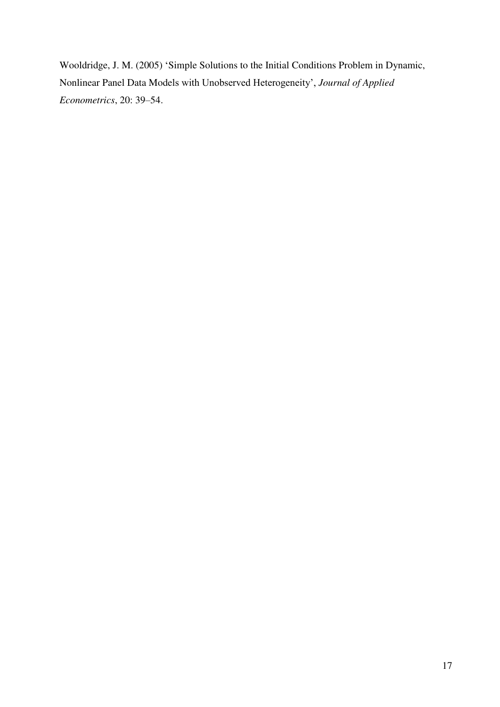Wooldridge, J. M. (2005) 'Simple Solutions to the Initial Conditions Problem in Dynamic, Nonlinear Panel Data Models with Unobserved Heterogeneity', *Journal of Applied Econometrics*, 20: 39–54.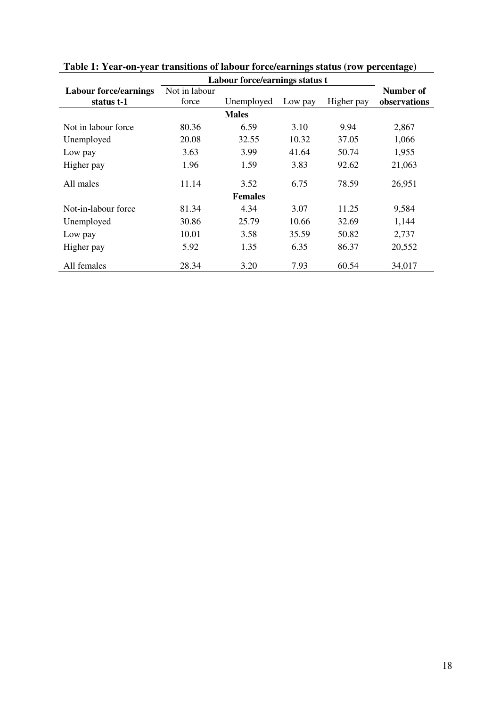|                              |               | Labour force/earnings status t |         |            |              |
|------------------------------|---------------|--------------------------------|---------|------------|--------------|
| <b>Labour force/earnings</b> | Not in labour |                                |         |            | Number of    |
| status t-1                   | force         | Unemployed                     | Low pay | Higher pay | observations |
|                              |               | <b>Males</b>                   |         |            |              |
| Not in labour force          | 80.36         | 6.59                           | 3.10    | 9.94       | 2,867        |
| Unemployed                   | 20.08         | 32.55                          | 10.32   | 37.05      | 1,066        |
| Low pay                      | 3.63          | 3.99                           | 41.64   | 50.74      | 1,955        |
| Higher pay                   | 1.96          | 1.59                           | 3.83    | 92.62      | 21,063       |
| All males                    | 11.14         | 3.52                           | 6.75    | 78.59      | 26,951       |
|                              |               | <b>Females</b>                 |         |            |              |
| Not-in-labour force          | 81.34         | 4.34                           | 3.07    | 11.25      | 9,584        |
| Unemployed                   | 30.86         | 25.79                          | 10.66   | 32.69      | 1,144        |
| Low pay                      | 10.01         | 3.58                           | 35.59   | 50.82      | 2,737        |
| Higher pay                   | 5.92          | 1.35                           | 6.35    | 86.37      | 20,552       |
| All females                  | 28.34         | 3.20                           | 7.93    | 60.54      | 34,017       |

**Table 1: Year-on-year transitions of labour force/earnings status (row percentage)**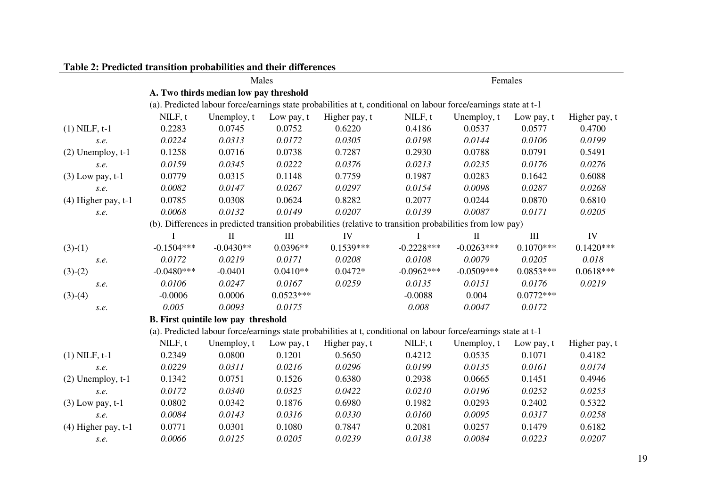| rabic 2. Fredicted transition probabilities and their unitertites |              | Males                                      |             | Females                                                                                                          |              |              |                                  |               |
|-------------------------------------------------------------------|--------------|--------------------------------------------|-------------|------------------------------------------------------------------------------------------------------------------|--------------|--------------|----------------------------------|---------------|
|                                                                   |              | A. Two thirds median low pay threshold     |             |                                                                                                                  |              |              |                                  |               |
|                                                                   |              |                                            |             | (a). Predicted labour force/earnings state probabilities at t, conditional on labour force/earnings state at t-1 |              |              |                                  |               |
|                                                                   | NILF, t      | Unemploy, t                                | Low pay, t  | Higher pay, t                                                                                                    | NILF, t      | Unemploy, t  | Low pay, t                       | Higher pay, t |
| $(1)$ NILF, $t-1$                                                 | 0.2283       | 0.0745                                     | 0.0752      | 0.6220                                                                                                           | 0.4186       | 0.0537       | 0.0577                           | 0.4700        |
| s.e.                                                              | 0.0224       | 0.0313                                     | 0.0172      | 0.0305                                                                                                           | 0.0198       | 0.0144       | 0.0106                           | 0.0199        |
| $(2)$ Unemploy, $t-1$                                             | 0.1258       | 0.0716                                     | 0.0738      | 0.7287                                                                                                           | 0.2930       | 0.0788       | 0.0791                           | 0.5491        |
| S.e.                                                              | 0.0159       | 0.0345                                     | 0.0222      | 0.0376                                                                                                           | 0.0213       | 0.0235       | 0.0176                           | 0.0276        |
| $(3)$ Low pay, t-1                                                | 0.0779       | 0.0315                                     | 0.1148      | 0.7759                                                                                                           | 0.1987       | 0.0283       | 0.1642                           | 0.6088        |
| s.e.                                                              | 0.0082       | 0.0147                                     | 0.0267      | 0.0297                                                                                                           | 0.0154       | 0.0098       | 0.0287                           | 0.0268        |
| $(4)$ Higher pay, t-1                                             | 0.0785       | 0.0308                                     | 0.0624      | 0.8282                                                                                                           | 0.2077       | 0.0244       | 0.0870                           | 0.6810        |
| s.e.                                                              | 0.0068       | 0.0132                                     | 0.0149      | 0.0207                                                                                                           | 0.0139       | 0.0087       | 0.0171                           | 0.0205        |
|                                                                   |              |                                            |             | (b). Differences in predicted transition probabilities (relative to transition probabilities from low pay)       |              |              |                                  |               |
|                                                                   |              | $\mathbf{I}$                               | III         | IV                                                                                                               |              | $\mathbf{I}$ | $\mathop{\mathrm{III}}\nolimits$ | IV            |
| $(3)-(1)$                                                         | $-0.1504***$ | $-0.0430**$                                | $0.0396**$  | $0.1539***$                                                                                                      | $-0.2228***$ | $-0.0263***$ | $0.1070***$                      | $0.1420***$   |
| S.e.                                                              | 0.0172       | 0.0219                                     | 0.0171      | 0.0208                                                                                                           | 0.0108       | 0.0079       | 0.0205                           | 0.018         |
| $(3)-(2)$                                                         | $-0.0480***$ | $-0.0401$                                  | $0.0410**$  | $0.0472*$                                                                                                        | $-0.0962***$ | $-0.0509***$ | $0.0853***$                      | $0.0618***$   |
| s.e.                                                              | 0.0106       | 0.0247                                     | 0.0167      | 0.0259                                                                                                           | 0.0135       | 0.0151       | 0.0176                           | 0.0219        |
| $(3)-(4)$                                                         | $-0.0006$    | 0.0006                                     | $0.0523***$ |                                                                                                                  | $-0.0088$    | 0.004        | $0.0772***$                      |               |
| S.e.                                                              | 0.005        | 0.0093                                     | 0.0175      |                                                                                                                  | 0.008        | 0.0047       | 0.0172                           |               |
|                                                                   |              | <b>B.</b> First quintile low pay threshold |             |                                                                                                                  |              |              |                                  |               |
|                                                                   |              |                                            |             | (a). Predicted labour force/earnings state probabilities at t, conditional on labour force/earnings state at t-1 |              |              |                                  |               |
|                                                                   | NILF, t      | Unemploy, t                                | Low pay, t  | Higher pay, t                                                                                                    | NILF, t      | Unemploy, t  | Low pay, t                       | Higher pay, t |
| $(1)$ NILF, $t-1$                                                 | 0.2349       | 0.0800                                     | 0.1201      | 0.5650                                                                                                           | 0.4212       | 0.0535       | 0.1071                           | 0.4182        |
| s.e.                                                              | 0.0229       | 0.0311                                     | 0.0216      | 0.0296                                                                                                           | 0.0199       | 0.0135       | 0.0161                           | 0.0174        |
| $(2)$ Unemploy, $t-1$                                             | 0.1342       | 0.0751                                     | 0.1526      | 0.6380                                                                                                           | 0.2938       | 0.0665       | 0.1451                           | 0.4946        |
| s.e.                                                              | 0.0172       | 0.0340                                     | 0.0325      | 0.0422                                                                                                           | 0.0210       | 0.0196       | 0.0252                           | 0.0253        |
| $(3)$ Low pay, t-1                                                | 0.0802       | 0.0342                                     | 0.1876      | 0.6980                                                                                                           | 0.1982       | 0.0293       | 0.2402                           | 0.5322        |
| s.e.                                                              | 0.0084       | 0.0143                                     | 0.0316      | 0.0330                                                                                                           | 0.0160       | 0.0095       | 0.0317                           | 0.0258        |
| $(4)$ Higher pay, t-1                                             | 0.0771       | 0.0301                                     | 0.1080      | 0.7847                                                                                                           | 0.2081       | 0.0257       | 0.1479                           | 0.6182        |
| S.e.                                                              | 0.0066       | 0.0125                                     | 0.0205      | 0.0239                                                                                                           | 0.0138       | 0.0084       | 0.0223                           | 0.0207        |

**Table 2: Predicted transition probabilities and their differences**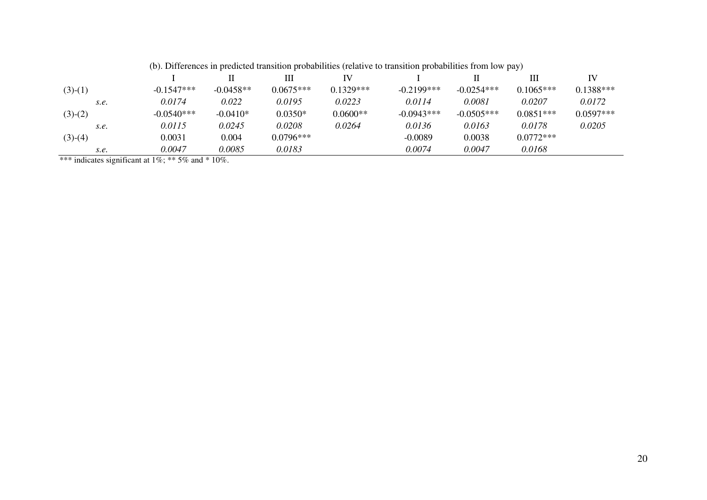|  | (b). Differences in predicted transition probabilities (relative to transition probabilities from low pay) |  |  |  |  |  |  |  |  |  |
|--|------------------------------------------------------------------------------------------------------------|--|--|--|--|--|--|--|--|--|
|--|------------------------------------------------------------------------------------------------------------|--|--|--|--|--|--|--|--|--|

|           |              |             | Ш           | IV          |              |              | Ш           | IV          |
|-----------|--------------|-------------|-------------|-------------|--------------|--------------|-------------|-------------|
| $(3)-(1)$ | $-0.1547***$ | $-0.0458**$ | $0.0675***$ | $0.1329***$ | $-0.2199***$ | $-0.0254***$ | $0.1065***$ | $0.1388***$ |
| S.e.      | 0.0174       | 0.022       | 0.0195      | 0.0223      | 0.0114       | 0.0081       | 0.0207      | 0.0172      |
| $(3)-(2)$ | $-0.0540***$ | $-0.0410*$  | $0.0350*$   | $0.0600**$  | $-0.0943***$ | $-0.0505***$ | $0.0851***$ | $0.0597***$ |
| S.e.      | 0.0115       | 0.0245      | 0.0208      | 0.0264      | 0.0136       | 0.0163       | 0.0178      | 0.0205      |
| $(3)-(4)$ | 0.0031       | 0.004       | $0.0796***$ |             | $-0.0089$    | 0.0038       | $0.0772***$ |             |
| S.e.      | 0.0047       | 0.0085      | 0.0183      |             | 0.0074       | 0.0047       | 0.0168      |             |

\*\*\* indicates significant at  $1\%$ ; \*\* 5% and \* 10%.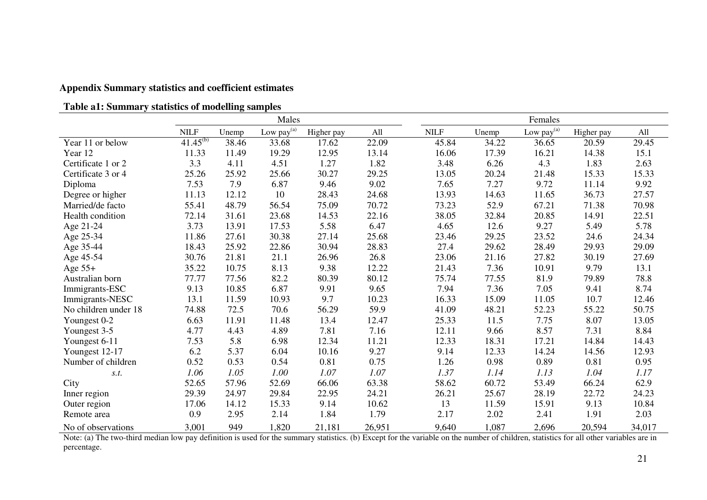## **Appendix Summary statistics and coefficient estimates**

| Table a1: Summary statistics of modelling samples |  |  |
|---------------------------------------------------|--|--|
|                                                   |  |  |

|                      |               |       | Males                  |            |        |             |       | Females                |            |        |
|----------------------|---------------|-------|------------------------|------------|--------|-------------|-------|------------------------|------------|--------|
|                      | <b>NILF</b>   | Unemp | Low pay <sup>(a)</sup> | Higher pay | All    | <b>NILF</b> | Unemp | Low pay <sup>(a)</sup> | Higher pay | All    |
| Year 11 or below     | $41.45^{(b)}$ | 38.46 | 33.68                  | 17.62      | 22.09  | 45.84       | 34.22 | 36.65                  | 20.59      | 29.45  |
| Year 12              | 11.33         | 11.49 | 19.29                  | 12.95      | 13.14  | 16.06       | 17.39 | 16.21                  | 14.38      | 15.1   |
| Certificate 1 or 2   | 3.3           | 4.11  | 4.51                   | 1.27       | 1.82   | 3.48        | 6.26  | 4.3                    | 1.83       | 2.63   |
| Certificate 3 or 4   | 25.26         | 25.92 | 25.66                  | 30.27      | 29.25  | 13.05       | 20.24 | 21.48                  | 15.33      | 15.33  |
| Diploma              | 7.53          | 7.9   | 6.87                   | 9.46       | 9.02   | 7.65        | 7.27  | 9.72                   | 11.14      | 9.92   |
| Degree or higher     | 11.13         | 12.12 | 10                     | 28.43      | 24.68  | 13.93       | 14.63 | 11.65                  | 36.73      | 27.57  |
| Married/de facto     | 55.41         | 48.79 | 56.54                  | 75.09      | 70.72  | 73.23       | 52.9  | 67.21                  | 71.38      | 70.98  |
| Health condition     | 72.14         | 31.61 | 23.68                  | 14.53      | 22.16  | 38.05       | 32.84 | 20.85                  | 14.91      | 22.51  |
| Age 21-24            | 3.73          | 13.91 | 17.53                  | 5.58       | 6.47   | 4.65        | 12.6  | 9.27                   | 5.49       | 5.78   |
| Age 25-34            | 11.86         | 27.61 | 30.38                  | 27.14      | 25.68  | 23.46       | 29.25 | 23.52                  | 24.6       | 24.34  |
| Age 35-44            | 18.43         | 25.92 | 22.86                  | 30.94      | 28.83  | 27.4        | 29.62 | 28.49                  | 29.93      | 29.09  |
| Age 45-54            | 30.76         | 21.81 | 21.1                   | 26.96      | 26.8   | 23.06       | 21.16 | 27.82                  | 30.19      | 27.69  |
| Age $55+$            | 35.22         | 10.75 | 8.13                   | 9.38       | 12.22  | 21.43       | 7.36  | 10.91                  | 9.79       | 13.1   |
| Australian born      | 77.77         | 77.56 | 82.2                   | 80.39      | 80.12  | 75.74       | 77.55 | 81.9                   | 79.89      | 78.8   |
| Immigrants-ESC       | 9.13          | 10.85 | 6.87                   | 9.91       | 9.65   | 7.94        | 7.36  | 7.05                   | 9.41       | 8.74   |
| Immigrants-NESC      | 13.1          | 11.59 | 10.93                  | 9.7        | 10.23  | 16.33       | 15.09 | 11.05                  | 10.7       | 12.46  |
| No children under 18 | 74.88         | 72.5  | 70.6                   | 56.29      | 59.9   | 41.09       | 48.21 | 52.23                  | 55.22      | 50.75  |
| Youngest 0-2         | 6.63          | 11.91 | 11.48                  | 13.4       | 12.47  | 25.33       | 11.5  | 7.75                   | 8.07       | 13.05  |
| Youngest 3-5         | 4.77          | 4.43  | 4.89                   | 7.81       | 7.16   | 12.11       | 9.66  | 8.57                   | 7.31       | 8.84   |
| Youngest 6-11        | 7.53          | 5.8   | 6.98                   | 12.34      | 11.21  | 12.33       | 18.31 | 17.21                  | 14.84      | 14.43  |
| Youngest 12-17       | 6.2           | 5.37  | 6.04                   | 10.16      | 9.27   | 9.14        | 12.33 | 14.24                  | 14.56      | 12.93  |
| Number of children   | 0.52          | 0.53  | 0.54                   | 0.81       | 0.75   | 1.26        | 0.98  | 0.89                   | 0.81       | 0.95   |
| S.t.                 | 1.06          | 1.05  | 1.00                   | 1.07       | 1.07   | 1.37        | 1.14  | 1.13                   | 1.04       | 1.17   |
| City                 | 52.65         | 57.96 | 52.69                  | 66.06      | 63.38  | 58.62       | 60.72 | 53.49                  | 66.24      | 62.9   |
| Inner region         | 29.39         | 24.97 | 29.84                  | 22.95      | 24.21  | 26.21       | 25.67 | 28.19                  | 22.72      | 24.23  |
| Outer region         | 17.06         | 14.12 | 15.33                  | 9.14       | 10.62  | 13          | 11.59 | 15.91                  | 9.13       | 10.84  |
| Remote area          | 0.9           | 2.95  | 2.14                   | 1.84       | 1.79   | 2.17        | 2.02  | 2.41                   | 1.91       | 2.03   |
| No of observations   | 3,001         | 949   | 1,820                  | 21,181     | 26,951 | 9,640       | 1,087 | 2,696                  | 20,594     | 34,017 |

Note: (a) The two-third median low pay definition is used for the summary statistics. (b) Except for the variable on the number of children, statistics for all other variables are in percentage.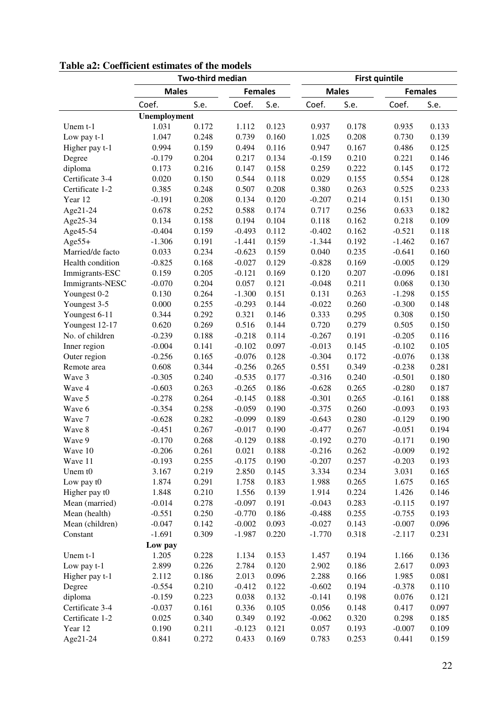|                  |              | <b>Two-third median</b> |                |       | <b>First quintile</b> |       |                |       |
|------------------|--------------|-------------------------|----------------|-------|-----------------------|-------|----------------|-------|
|                  | <b>Males</b> |                         | <b>Females</b> |       | <b>Males</b>          |       | <b>Females</b> |       |
|                  | Coef.        | S.e.                    | Coef.          | S.e.  | Coef.                 | S.e.  | Coef.          | S.e.  |
|                  | Unemployment |                         |                |       |                       |       |                |       |
| Unem $t-1$       | 1.031        | 0.172                   | 1.112          | 0.123 | 0.937                 | 0.178 | 0.935          | 0.133 |
| Low pay t-1      | 1.047        | 0.248                   | 0.739          | 0.160 | 1.025                 | 0.208 | 0.730          | 0.139 |
| Higher pay t-1   | 0.994        | 0.159                   | 0.494          | 0.116 | 0.947                 | 0.167 | 0.486          | 0.125 |
| Degree           | $-0.179$     | 0.204                   | 0.217          | 0.134 | $-0.159$              | 0.210 | 0.221          | 0.146 |
| diploma          | 0.173        | 0.216                   | 0.147          | 0.158 | 0.259                 | 0.222 | 0.145          | 0.172 |
| Certificate 3-4  | 0.020        | 0.150                   | 0.544          | 0.118 | 0.029                 | 0.155 | 0.554          | 0.128 |
| Certificate 1-2  | 0.385        | 0.248                   | 0.507          | 0.208 | 0.380                 | 0.263 | 0.525          | 0.233 |
| Year 12          | $-0.191$     | 0.208                   | 0.134          | 0.120 | $-0.207$              | 0.214 | 0.151          | 0.130 |
| Age21-24         | 0.678        | 0.252                   | 0.588          | 0.174 | 0.717                 | 0.256 | 0.633          | 0.182 |
| Age25-34         | 0.134        | 0.158                   | 0.194          | 0.104 | 0.118                 | 0.162 | 0.218          | 0.109 |
| Age45-54         | $-0.404$     | 0.159                   | $-0.493$       | 0.112 | $-0.402$              | 0.162 | $-0.521$       | 0.118 |
| $Age55+$         | $-1.306$     | 0.191                   | $-1.441$       | 0.159 | $-1.344$              | 0.192 | $-1.462$       | 0.167 |
| Married/de facto | 0.033        | 0.234                   | $-0.623$       | 0.159 | 0.040                 | 0.235 | $-0.641$       | 0.160 |
| Health condition | $-0.825$     | 0.168                   | $-0.027$       | 0.129 | $-0.828$              | 0.169 | $-0.005$       | 0.129 |
| Immigrants-ESC   | 0.159        | 0.205                   | $-0.121$       | 0.169 | 0.120                 | 0.207 | $-0.096$       | 0.181 |
| Immigrants-NESC  | $-0.070$     | 0.204                   | 0.057          | 0.121 | $-0.048$              | 0.211 | 0.068          | 0.130 |
| Youngest 0-2     | 0.130        | 0.264                   | $-1.300$       | 0.151 | 0.131                 | 0.263 | $-1.298$       | 0.155 |
| Youngest 3-5     | 0.000        | 0.255                   | $-0.293$       | 0.144 | $-0.022$              | 0.260 | $-0.300$       | 0.148 |
| Youngest 6-11    | 0.344        | 0.292                   | 0.321          | 0.146 | 0.333                 | 0.295 | 0.308          | 0.150 |
| Youngest 12-17   | 0.620        | 0.269                   | 0.516          | 0.144 | 0.720                 | 0.279 | 0.505          | 0.150 |
| No. of children  | $-0.239$     | 0.188                   | $-0.218$       | 0.114 | $-0.267$              | 0.191 | $-0.205$       | 0.116 |
| Inner region     | $-0.004$     | 0.141                   | $-0.102$       | 0.097 | $-0.013$              | 0.145 | $-0.102$       | 0.105 |
| Outer region     | $-0.256$     | 0.165                   | $-0.076$       | 0.128 | $-0.304$              | 0.172 | $-0.076$       | 0.138 |
| Remote area      | 0.608        | 0.344                   | $-0.256$       | 0.265 | 0.551                 | 0.349 | $-0.238$       | 0.281 |
| Wave 3           | $-0.305$     | 0.240                   | $-0.535$       | 0.177 | $-0.316$              | 0.240 | $-0.501$       | 0.180 |
| Wave 4           | $-0.603$     | 0.263                   | $-0.265$       | 0.186 | $-0.628$              | 0.265 | $-0.280$       | 0.187 |
| Wave 5           | $-0.278$     | 0.264                   | $-0.145$       | 0.188 | $-0.301$              | 0.265 | $-0.161$       | 0.188 |
| Wave 6           | $-0.354$     | 0.258                   | $-0.059$       | 0.190 | $-0.375$              | 0.260 | $-0.093$       | 0.193 |
| Wave 7           | $-0.628$     | 0.282                   | $-0.099$       | 0.189 | $-0.643$              | 0.280 | $-0.129$       | 0.190 |
| Wave 8           | $-0.451$     | 0.267                   | $-0.017$       | 0.190 | $-0.477$              | 0.267 | $-0.051$       | 0.194 |
| Wave 9           | $-0.170$     | 0.268                   | $-0.129$       | 0.188 | $-0.192$              | 0.270 | $-0.171$       | 0.190 |
| Wave 10          | $-0.206$     | 0.261                   | 0.021          | 0.188 | $-0.216$              | 0.262 | $-0.009$       | 0.192 |
| Wave 11          | $-0.193$     | 0.255                   | $-0.175$       | 0.190 | $-0.207$              | 0.257 | $-0.203$       | 0.193 |
| Unem t0          | 3.167        | 0.219                   | 2.850          | 0.145 | 3.334                 | 0.234 | 3.031          | 0.165 |
| Low pay t0       | 1.874        | 0.291                   | 1.758          | 0.183 | 1.988                 | 0.265 | 1.675          | 0.165 |
| Higher pay t0    | 1.848        | 0.210                   | 1.556          | 0.139 | 1.914                 | 0.224 | 1.426          | 0.146 |
| Mean (married)   | $-0.014$     | 0.278                   | $-0.097$       | 0.191 | $-0.043$              | 0.283 | $-0.115$       | 0.197 |
| Mean (health)    | $-0.551$     | 0.250                   | $-0.770$       | 0.186 | $-0.488$              | 0.255 | $-0.755$       | 0.193 |
| Mean (children)  | $-0.047$     | 0.142                   | $-0.002$       | 0.093 | $-0.027$              | 0.143 | $-0.007$       | 0.096 |
| Constant         | $-1.691$     | 0.309                   | $-1.987$       | 0.220 | $-1.770$              | 0.318 | $-2.117$       | 0.231 |
|                  | Low pay      |                         |                |       |                       |       |                |       |
| Unem t-1         | 1.205        | 0.228                   | 1.134          | 0.153 | 1.457                 | 0.194 | 1.166          | 0.136 |
| Low pay t-1      | 2.899        | 0.226                   | 2.784          | 0.120 | 2.902                 | 0.186 | 2.617          | 0.093 |
| Higher pay t-1   | 2.112        | 0.186                   | 2.013          | 0.096 | 2.288                 | 0.166 | 1.985          | 0.081 |
| Degree           | $-0.554$     | 0.210                   | $-0.412$       | 0.122 | $-0.602$              | 0.194 | $-0.378$       | 0.110 |
| diploma          | $-0.159$     | 0.223                   | 0.038          | 0.132 | $-0.141$              | 0.198 | 0.076          | 0.121 |
| Certificate 3-4  | $-0.037$     | 0.161                   | 0.336          | 0.105 | 0.056                 | 0.148 | 0.417          | 0.097 |
| Certificate 1-2  | 0.025        | 0.340                   | 0.349          | 0.192 | $-0.062$              | 0.320 | 0.298          | 0.185 |
| Year 12          | 0.190        | 0.211                   | $-0.123$       | 0.121 | 0.057                 | 0.193 | $-0.007$       | 0.109 |
| Age21-24         | 0.841        | 0.272                   | 0.433          | 0.169 | 0.783                 | 0.253 | 0.441          | 0.159 |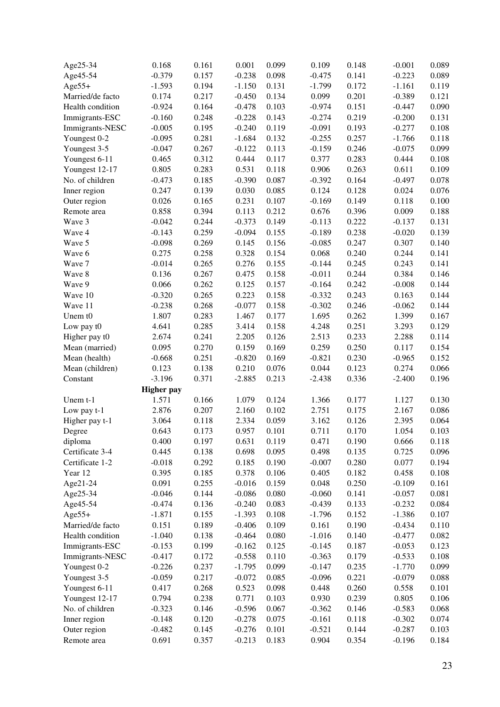| Age25-34         | 0.168                      | 0.161 | 0.001    | 0.099          | 0.109             | 0.148          | $-0.001$          | 0.089          |
|------------------|----------------------------|-------|----------|----------------|-------------------|----------------|-------------------|----------------|
| Age45-54         | $-0.379$                   | 0.157 | $-0.238$ | 0.098          | $-0.475$          | 0.141          | $-0.223$          | 0.089          |
| $Age55+$         | $-1.593$                   | 0.194 | $-1.150$ | 0.131          | $-1.799$          | 0.172          | $-1.161$          | 0.119          |
| Married/de facto | 0.174                      | 0.217 | $-0.450$ | 0.134          | 0.099             | 0.201          | $-0.389$          | 0.121          |
| Health condition | $-0.924$                   | 0.164 | $-0.478$ | 0.103          | $-0.974$          | 0.151          | $-0.447$          | 0.090          |
| Immigrants-ESC   | $-0.160$                   | 0.248 | $-0.228$ | 0.143          | $-0.274$          | 0.219          | $-0.200$          | 0.131          |
| Immigrants-NESC  | $-0.005$                   | 0.195 | $-0.240$ | 0.119          | $-0.091$          | 0.193          | $-0.277$          | 0.108          |
| Youngest 0-2     | $-0.095$                   | 0.281 | $-1.684$ | 0.132          | $-0.255$          | 0.257          | $-1.766$          | 0.118          |
| Youngest 3-5     | $-0.047$                   | 0.267 | $-0.122$ | 0.113          | $-0.159$          | 0.246          | $-0.075$          | 0.099          |
| Youngest 6-11    | 0.465                      | 0.312 | 0.444    | 0.117          | 0.377             | 0.283          | 0.444             | 0.108          |
| Youngest 12-17   | 0.805                      | 0.283 | 0.531    | 0.118          | 0.906             | 0.263          | 0.611             | 0.109          |
| No. of children  | $-0.473$                   | 0.185 | $-0.390$ | 0.087          | $-0.392$          | 0.164          | $-0.497$          | 0.078          |
| Inner region     | 0.247                      | 0.139 | 0.030    | 0.085          | 0.124             | 0.128          | 0.024             | 0.076          |
| Outer region     | 0.026                      | 0.165 | 0.231    | 0.107          | $-0.169$          | 0.149          | 0.118             | 0.100          |
| Remote area      | 0.858                      | 0.394 | 0.113    | 0.212          | 0.676             | 0.396          | 0.009             | 0.188          |
| Wave 3           | $-0.042$                   | 0.244 | $-0.373$ | 0.149          | $-0.113$          | 0.222          | $-0.137$          | 0.131          |
| Wave 4           | $-0.143$                   | 0.259 | $-0.094$ | 0.155          | $-0.189$          | 0.238          | $-0.020$          | 0.139          |
| Wave 5           | $-0.098$                   | 0.269 | 0.145    | 0.156          | $-0.085$          | 0.247          | 0.307             | 0.140          |
| Wave 6           | 0.275                      | 0.258 | 0.328    | 0.154          | 0.068             | 0.240          | 0.244             | 0.141          |
| Wave 7           | $-0.014$                   | 0.265 | 0.276    | 0.155          | $-0.144$          | 0.245          | 0.243             | 0.141          |
| Wave 8           | 0.136                      | 0.267 | 0.475    | 0.158          | $-0.011$          | 0.244          | 0.384             | 0.146          |
| Wave 9           | 0.066                      | 0.262 | 0.125    | 0.157          | $-0.164$          | 0.242          | $-0.008$          | 0.144          |
| Wave 10          | $-0.320$                   | 0.265 | 0.223    | 0.158          | $-0.332$          | 0.243          | 0.163             | 0.144          |
| Wave 11          | $-0.238$                   | 0.268 | $-0.077$ | 0.158          | $-0.302$          | 0.246          | $-0.062$          | 0.144          |
| Unem t0          | 1.807                      | 0.283 | 1.467    | 0.177          | 1.695             | 0.262          | 1.399             | 0.167          |
| Low pay t0       | 4.641                      | 0.285 | 3.414    | 0.158          | 4.248             | 0.251          | 3.293             | 0.129          |
| Higher pay t0    | 2.674                      | 0.241 | 2.205    | 0.126          | 2.513             | 0.233          | 2.288             | 0.114          |
| Mean (married)   | 0.095                      | 0.270 | 0.159    | 0.169          | 0.259             | 0.250          | 0.117             | 0.154          |
|                  | $-0.668$                   | 0.251 | $-0.820$ | 0.169          | $-0.821$          | 0.230          | $-0.965$          | 0.152          |
| Mean (health)    |                            |       |          |                |                   |                |                   |                |
| Mean (children)  | 0.123<br>$-3.196$          | 0.138 | 0.210    | 0.076<br>0.213 | 0.044<br>$-2.438$ | 0.123<br>0.336 | 0.274<br>$-2.400$ | 0.066<br>0.196 |
| Constant         |                            | 0.371 | $-2.885$ |                |                   |                |                   |                |
|                  | <b>Higher pay</b><br>1.571 | 0.166 | 1.079    | 0.124          |                   | 0.177          |                   | 0.130          |
| Unem $t-1$       |                            |       |          |                | 1.366             |                | 1.127             |                |
| Low pay t-1      | 2.876                      | 0.207 | 2.160    | 0.102          | 2.751             | 0.175          | 2.167             | 0.086          |
| Higher pay t-1   | 3.064                      | 0.118 | 2.334    | 0.059          | 3.162             | 0.126          | 2.395             | 0.064          |
| Degree           | 0.643                      | 0.173 | 0.957    | 0.101          | 0.711             | 0.170          | 1.054             | 0.103          |
| diploma          | 0.400                      | 0.197 | 0.631    | 0.119          | 0.471             | 0.190          | 0.666             | 0.118          |
| Certificate 3-4  | 0.445                      | 0.138 | 0.698    | 0.095          | 0.498             | 0.135          | 0.725             | 0.096          |
| Certificate 1-2  | $-0.018$                   | 0.292 | 0.185    | 0.190          | $-0.007$          | 0.280          | 0.077             | 0.194          |
| Year 12          | 0.395                      | 0.185 | 0.378    | 0.106          | 0.405             | 0.182          | 0.458             | 0.108          |
| Age21-24         | 0.091                      | 0.255 | $-0.016$ | 0.159          | 0.048             | 0.250          | $-0.109$          | 0.161          |
| Age25-34         | $-0.046$                   | 0.144 | $-0.086$ | 0.080          | $-0.060$          | 0.141          | $-0.057$          | 0.081          |
| Age45-54         | $-0.474$                   | 0.136 | $-0.240$ | 0.083          | $-0.439$          | 0.133          | $-0.232$          | 0.084          |
| $Age55+$         | $-1.871$                   | 0.155 | $-1.393$ | 0.108          | $-1.796$          | 0.152          | $-1.386$          | 0.107          |
| Married/de facto | 0.151                      | 0.189 | $-0.406$ | 0.109          | 0.161             | 0.190          | $-0.434$          | 0.110          |
| Health condition | $-1.040$                   | 0.138 | $-0.464$ | 0.080          | $-1.016$          | 0.140          | $-0.477$          | 0.082          |
| Immigrants-ESC   | $-0.153$                   | 0.199 | $-0.162$ | 0.125          | $-0.145$          | 0.187          | $-0.053$          | 0.123          |
| Immigrants-NESC  | $-0.417$                   | 0.172 | $-0.558$ | 0.110          | $-0.363$          | 0.179          | $-0.533$          | 0.108          |
| Youngest 0-2     | $-0.226$                   | 0.237 | $-1.795$ | 0.099          | $-0.147$          | 0.235          | $-1.770$          | 0.099          |
| Youngest 3-5     | $-0.059$                   | 0.217 | $-0.072$ | 0.085          | $-0.096$          | 0.221          | $-0.079$          | 0.088          |
| Youngest 6-11    | 0.417                      | 0.268 | 0.523    | 0.098          | 0.448             | 0.260          | 0.558             | 0.101          |
| Youngest 12-17   | 0.794                      | 0.238 | 0.771    | 0.103          | 0.930             | 0.239          | 0.805             | 0.106          |
| No. of children  | $-0.323$                   | 0.146 | $-0.596$ | 0.067          | $-0.362$          | 0.146          | $-0.583$          | 0.068          |
| Inner region     | $-0.148$                   | 0.120 | $-0.278$ | 0.075          | $-0.161$          | 0.118          | $-0.302$          | 0.074          |
| Outer region     | $-0.482$                   | 0.145 | $-0.276$ | 0.101          | $-0.521$          | 0.144          | $-0.287$          | 0.103          |
| Remote area      | 0.691                      | 0.357 | $-0.213$ | 0.183          | 0.904             | 0.354          | $-0.196$          | 0.184          |